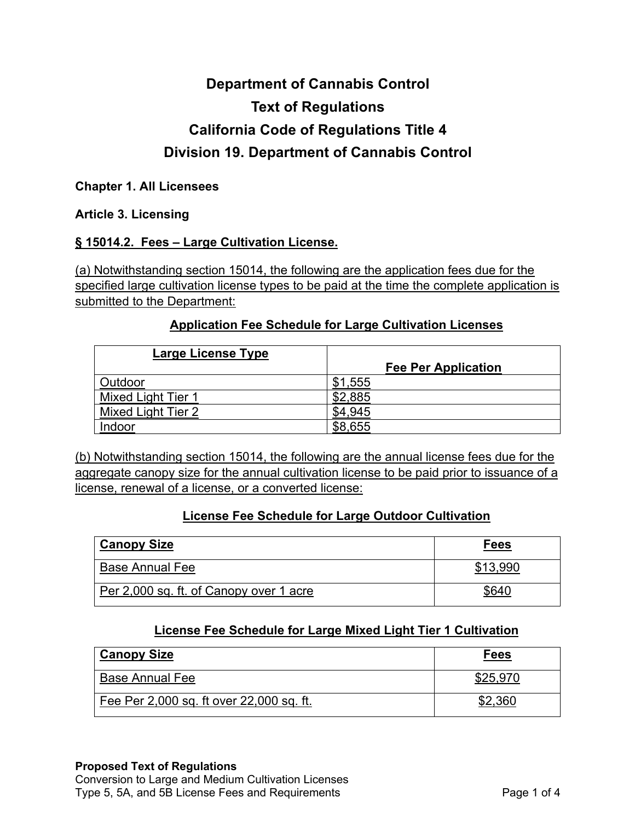# **Department of Cannabis Control Text of Regulations California Code of Regulations Title 4 Division 19. Department of Cannabis Control**

#### **Chapter 1. All Licensees**

#### **Article 3. Licensing**

## **§ 15014.2. Fees – Large Cultivation License.**

(a) Notwithstanding section 15014, the following are the application fees due for the specified large cultivation license types to be paid at the time the complete application is submitted to the Department:

#### **Application Fee Schedule for Large Cultivation Licenses**

| Large License Type        |                            |
|---------------------------|----------------------------|
|                           | <b>Fee Per Application</b> |
| Outdoor                   | \$1,555                    |
| Mixed Light Tier 1        | \$2,885                    |
| <b>Mixed Light Tier 2</b> |                            |
| Indoor                    | \$8,655                    |

(b) Notwithstanding section 15014, the following are the annual license fees due for the aggregate canopy size for the annual cultivation license to be paid prior to issuance of a license, renewal of a license, or a converted license:

## **License Fee Schedule for Large Outdoor Cultivation**

| <b>Canopy Size</b>                      | <b>Fees</b> |
|-----------------------------------------|-------------|
| <b>Base Annual Fee</b>                  | \$13,990    |
| Per 2,000 sq. ft. of Canopy over 1 acre | S64ſ        |

## **License Fee Schedule for Large Mixed Light Tier 1 Cultivation**

| <b>Canopy Size</b>                       | Fees     |
|------------------------------------------|----------|
| <b>Base Annual Fee</b>                   | \$25,970 |
| Fee Per 2,000 sq. ft over 22,000 sq. ft. |          |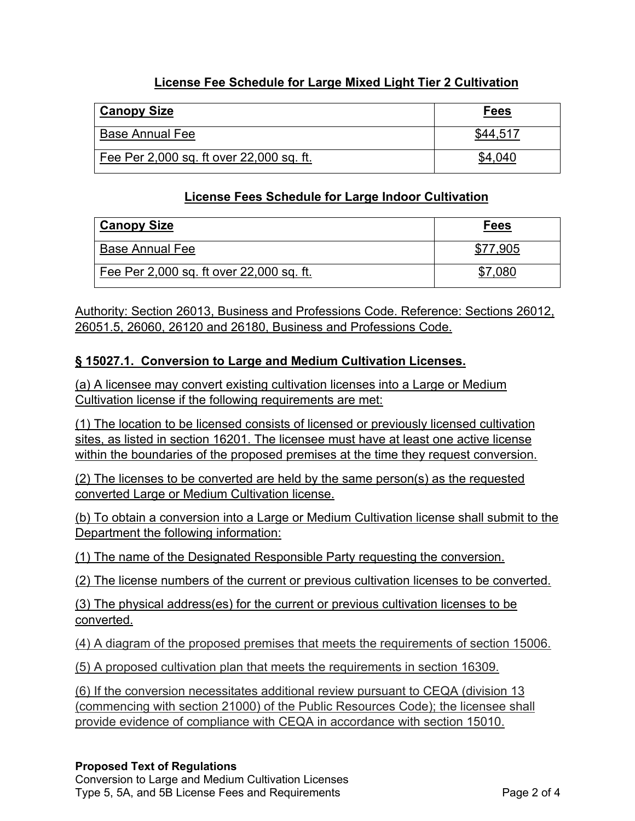## **License Fee Schedule for Large Mixed Light Tier 2 Cultivation**

| <b>Canopy Size</b>                       | <b>Fees</b> |
|------------------------------------------|-------------|
| <b>Base Annual Fee</b>                   | \$44.517    |
| Fee Per 2,000 sq. ft over 22,000 sq. ft. |             |

#### **License Fees Schedule for Large Indoor Cultivation**

| <b>Canopy Size</b>                       | <b>Fees</b> |
|------------------------------------------|-------------|
| <b>Base Annual Fee</b>                   | 7.905       |
| Fee Per 2,000 sq. ft over 22,000 sq. ft. | .080        |

Authority: Section 26013, Business and Professions Code. Reference: Sections 26012, 26051.5, 26060, 26120 and 26180, Business and Professions Code.

#### **§ 15027.1. Conversion to Large and Medium Cultivation Licenses.**

(a) A licensee may convert existing cultivation licenses into a Large or Medium Cultivation license if the following requirements are met:

(1) The location to be licensed consists of licensed or previously licensed cultivation sites, as listed in section 16201. The licensee must have at least one active license within the boundaries of the proposed premises at the time they request conversion.

(2) The licenses to be converted are held by the same person(s) as the requested converted Large or Medium Cultivation license.

(b) To obtain a conversion into a Large or Medium Cultivation license shall submit to the Department the following information:

(1) The name of the Designated Responsible Party requesting the conversion.

(2) The license numbers of the current or previous cultivation licenses to be converted.

(3) The physical address(es) for the current or previous cultivation licenses to be converted.

(4) A diagram of the proposed premises that meets the requirements of section 15006.

(5) A proposed cultivation plan that meets the requirements in section 16309.

(6) If the conversion necessitates additional review pursuant to CEQA (division 13 (commencing with section 21000) of the Public Resources Code); the licensee shall provide evidence of compliance with CEQA in accordance with section 15010.

#### **Proposed Text of Regulations**

 Conversion to Large and Medium Cultivation Licenses Type 5, 5A, and 5B License Fees and Requirements **Page 2 of 4**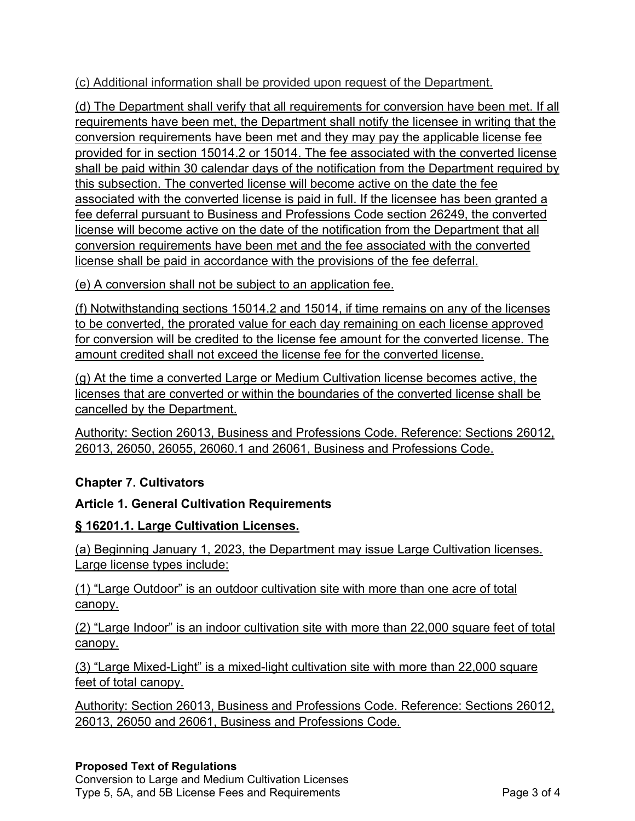(c) Additional information shall be provided upon request of the Department.

(d) The Department shall verify that all requirements for conversion have been met. If all requirements have been met, the Department shall notify the licensee in writing that the conversion requirements have been met and they may pay the applicable license fee provided for in section 15014.2 or 15014. The fee associated with the converted license shall be paid within 30 calendar days of the notification from the Department required by this subsection. The converted license will become active on the date the fee associated with the converted license is paid in full. If the licensee has been granted a fee deferral pursuant to Business and Professions Code section 26249, the converted license will become active on the date of the notification from the Department that all conversion requirements have been met and the fee associated with the converted license shall be paid in accordance with the provisions of the fee deferral.

(e) A conversion shall not be subject to an application fee.

(f) Notwithstanding sections 15014.2 and 15014, if time remains on any of the licenses to be converted, the prorated value for each day remaining on each license approved for conversion will be credited to the license fee amount for the converted license . The amount credited shall not exceed the license fee for the converted license .

(g) At the time a converted Large or Medium Cultivation license becomes active , the licenses that are converted or within the boundaries of the converted license shall be cancelled by the Department.

Authority: Section 26013, Business and Professions Code. Reference: Sections 26012, 26013, 26050, 26055, 26060.1 and 26061, Business and Professions Code.

# **Chapter 7. Cultivators**

# **Article 1. General Cultivation Requirements**

# **§ 16201.1. Large Cultivation Licenses.**

(a) Beginning January 1, 2023, the Department may issue Large Cultivation licenses. Large license types include:

(1) "Large Outdoor" is an outdoor cultivation site with more than one acre of total canopy.

(2) "Large Indoor" is an indoor cultivation site with more than 22,000 square feet of total canopy.

(3) "Large Mixed-Light" is a mixed-light cultivation site with more than 22,000 square feet of total canopy.

Authority: Section 26013, Business and Professions Code. Reference: Sections 26012, 26013, 26050 and 26061, Business and Professions Code.

# **Proposed Text of Regulations**

 Conversion to Large and Medium Cultivation Licenses Type 5, 5A, and 5B License Fees and Requirements **Page 3 of 4**